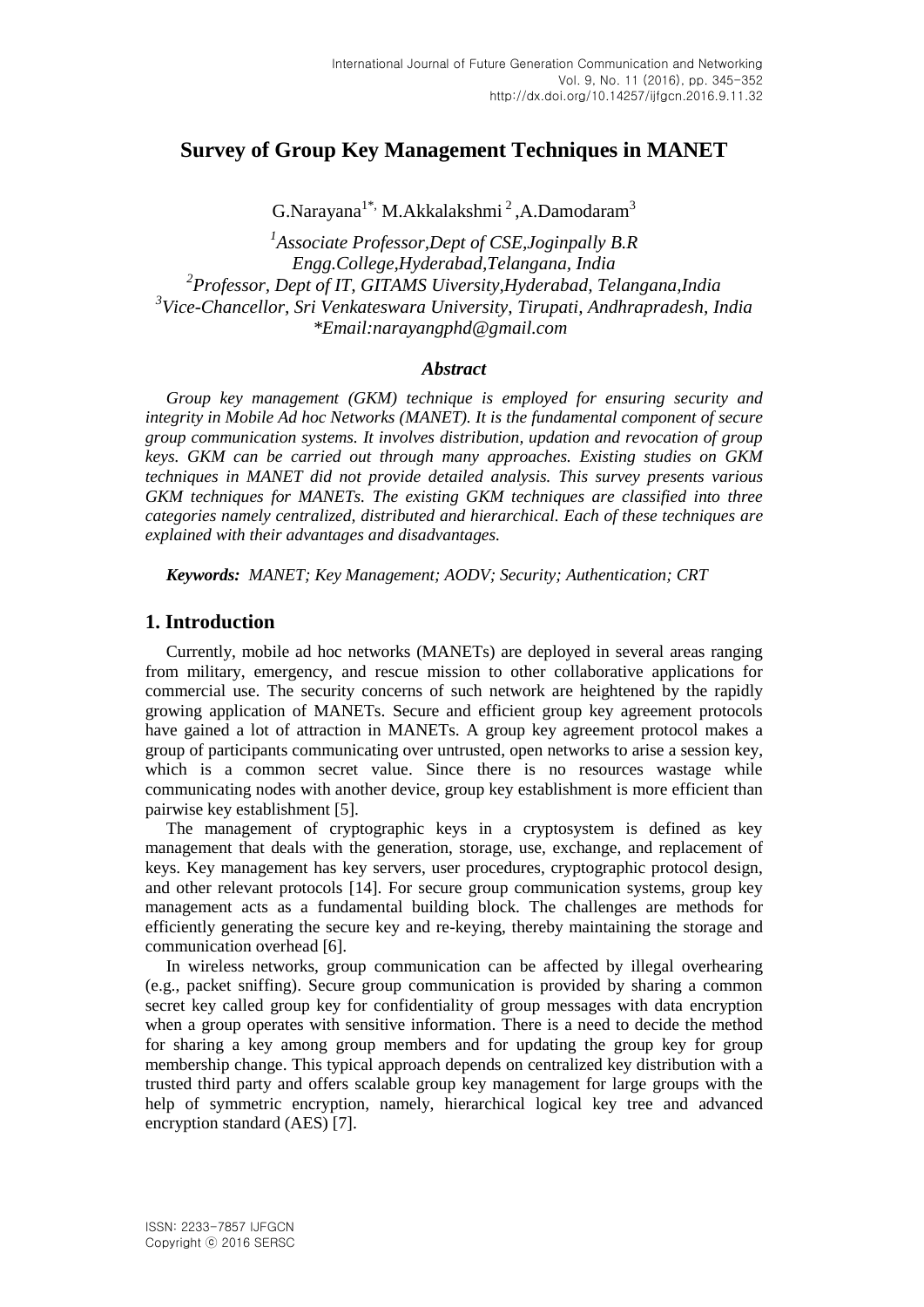# **Survey of Group Key Management Techniques in MANET**

G.Narayana<sup>1\*,</sup> M.Akkalakshmi<sup>2</sup>, A.Damodaram<sup>3</sup>

*1 Associate Professor,Dept of CSE,Joginpally B.R Engg.College,Hyderabad,Telangana, India 2 Professor, Dept of IT, GITAMS Uiversity,Hyderabad, Telangana,India 3 Vice-Chancellor, Sri Venkateswara University, Tirupati, Andhrapradesh, India \*Email:narayangphd@gmail.com*

#### *Abstract*

*Group key management (GKM) technique is employed for ensuring security and integrity in Mobile Ad hoc Networks (MANET). It is the fundamental component of secure group communication systems. It involves distribution, updation and revocation of group keys. GKM can be carried out through many approaches. Existing studies on GKM techniques in MANET did not provide detailed analysis. This survey presents various GKM techniques for MANETs. The existing GKM techniques are classified into three categories namely centralized, distributed and hierarchical. Each of these techniques are explained with their advantages and disadvantages.*

*Keywords: MANET; Key Management; AODV; Security; Authentication; CRT*

### **1. Introduction**

Currently, mobile ad hoc networks (MANETs) are deployed in several areas ranging from military, emergency, and rescue mission to other collaborative applications for commercial use. The security concerns of such network are heightened by the rapidly growing application of MANETs. Secure and efficient group key agreement protocols have gained a lot of attraction in MANETs. A group key agreement protocol makes a group of participants communicating over untrusted, open networks to arise a session key, which is a common secret value. Since there is no resources wastage while communicating nodes with another device, group key establishment is more efficient than pairwise key establishment [5].

The management of cryptographic keys in a cryptosystem is defined as key management that deals with the generation, storage, use, exchange, and replacement of keys. Key management has key servers, user procedures, cryptographic protocol design, and other relevant protocols [14]. For secure group communication systems, group key management acts as a fundamental building block. The challenges are methods for efficiently generating the secure key and re-keying, thereby maintaining the storage and communication overhead [6].

In wireless networks, group communication can be affected by illegal overhearing (e.g., packet sniffing). Secure group communication is provided by sharing a common secret key called group key for confidentiality of group messages with data encryption when a group operates with sensitive information. There is a need to decide the method for sharing a key among group members and for updating the group key for group membership change. This typical approach depends on centralized key distribution with a trusted third party and offers scalable group key management for large groups with the help of symmetric encryption, namely, hierarchical logical key tree and advanced encryption standard (AES) [7].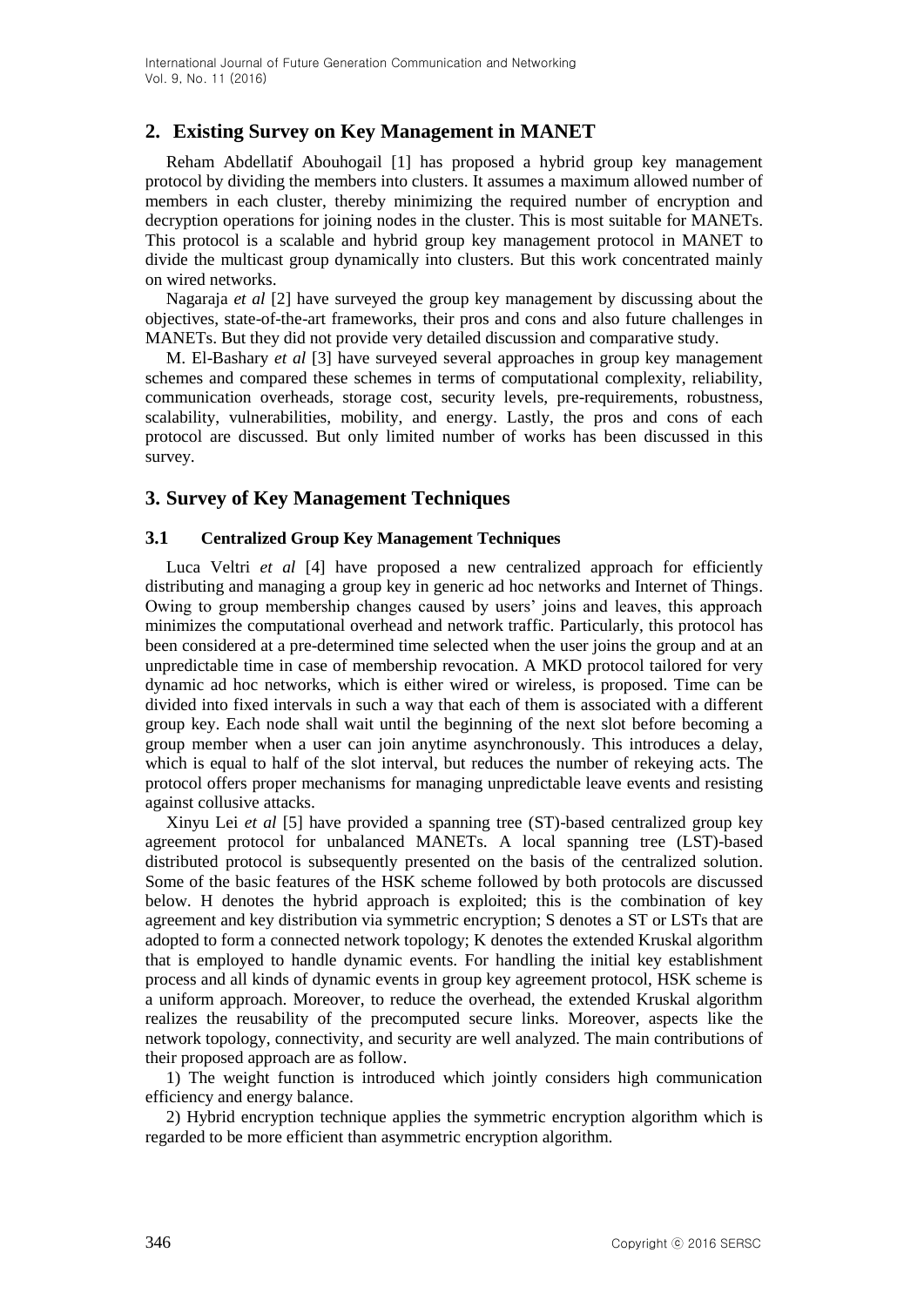# **2. Existing Survey on Key Management in MANET**

Reham Abdellatif Abouhogail [1] has proposed a hybrid group key management protocol by dividing the members into clusters. It assumes a maximum allowed number of members in each cluster, thereby minimizing the required number of encryption and decryption operations for joining nodes in the cluster. This is most suitable for MANETs. This protocol is a scalable and hybrid group key management protocol in MANET to divide the multicast group dynamically into clusters. But this work concentrated mainly on wired networks.

Nagaraja *et al* [2] have surveyed the group key management by discussing about the objectives, state-of-the-art frameworks, their pros and cons and also future challenges in MANETs. But they did not provide very detailed discussion and comparative study.

M. El-Bashary *et al* [3] have surveyed several approaches in group key management schemes and compared these schemes in terms of computational complexity, reliability, communication overheads, storage cost, security levels, pre-requirements, robustness, scalability, vulnerabilities, mobility, and energy. Lastly, the pros and cons of each protocol are discussed. But only limited number of works has been discussed in this survey.

### **3. Survey of Key Management Techniques**

#### **3.1 Centralized Group Key Management Techniques**

Luca Veltri *et al* [4] have proposed a new centralized approach for efficiently distributing and managing a group key in generic ad hoc networks and Internet of Things. Owing to group membership changes caused by users' joins and leaves, this approach minimizes the computational overhead and network traffic. Particularly, this protocol has been considered at a pre-determined time selected when the user joins the group and at an unpredictable time in case of membership revocation. A MKD protocol tailored for very dynamic ad hoc networks, which is either wired or wireless, is proposed. Time can be divided into fixed intervals in such a way that each of them is associated with a different group key. Each node shall wait until the beginning of the next slot before becoming a group member when a user can join anytime asynchronously. This introduces a delay, which is equal to half of the slot interval, but reduces the number of rekeying acts. The protocol offers proper mechanisms for managing unpredictable leave events and resisting against collusive attacks.

Xinyu Lei *et al* [5] have provided a spanning tree (ST)-based centralized group key agreement protocol for unbalanced MANETs. A local spanning tree (LST)-based distributed protocol is subsequently presented on the basis of the centralized solution. Some of the basic features of the HSK scheme followed by both protocols are discussed below. H denotes the hybrid approach is exploited; this is the combination of key agreement and key distribution via symmetric encryption; S denotes a ST or LSTs that are adopted to form a connected network topology; K denotes the extended Kruskal algorithm that is employed to handle dynamic events. For handling the initial key establishment process and all kinds of dynamic events in group key agreement protocol, HSK scheme is a uniform approach. Moreover, to reduce the overhead, the extended Kruskal algorithm realizes the reusability of the precomputed secure links. Moreover, aspects like the network topology, connectivity, and security are well analyzed. The main contributions of their proposed approach are as follow.

1) The weight function is introduced which jointly considers high communication efficiency and energy balance.

2) Hybrid encryption technique applies the symmetric encryption algorithm which is regarded to be more efficient than asymmetric encryption algorithm.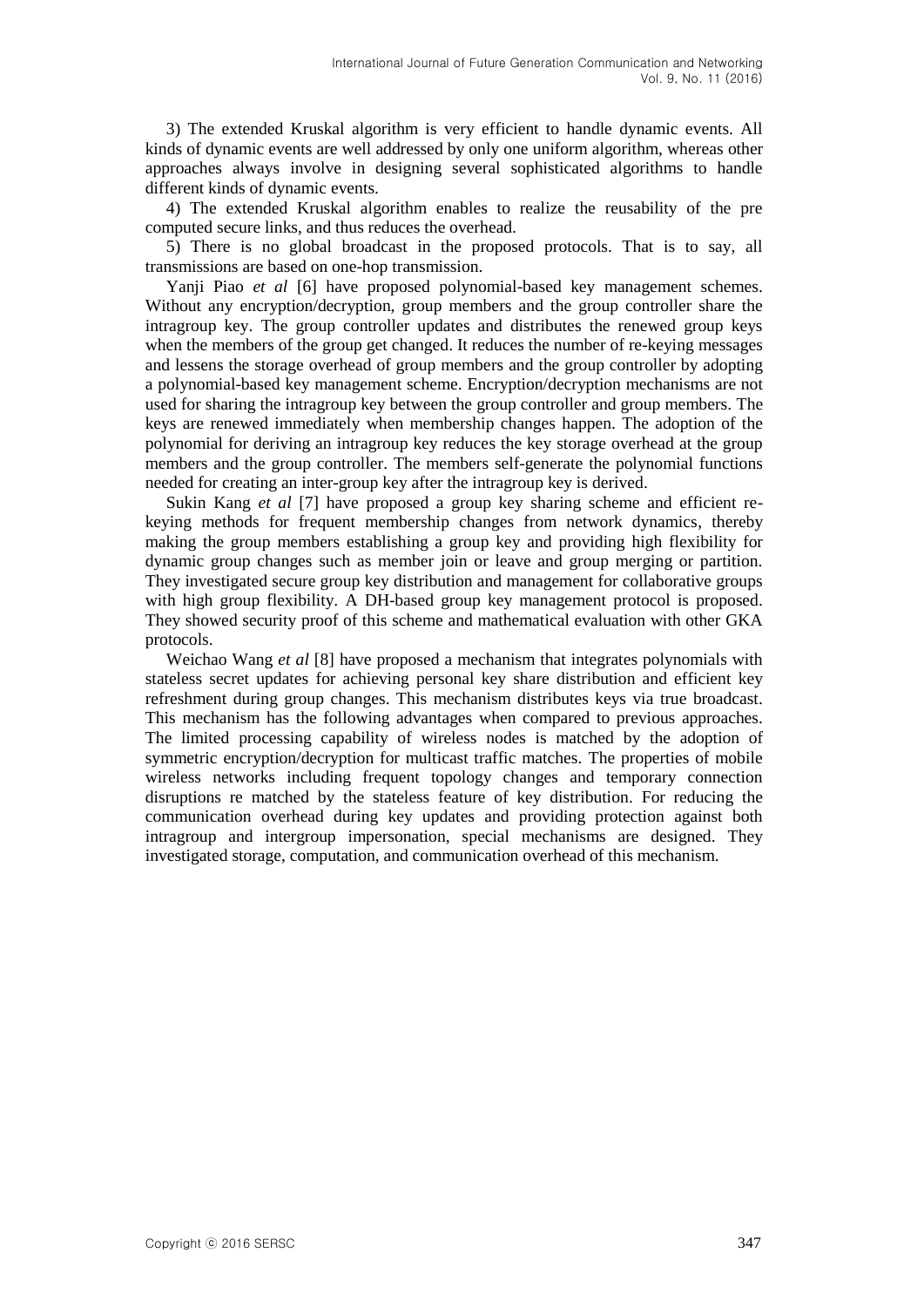3) The extended Kruskal algorithm is very efficient to handle dynamic events. All kinds of dynamic events are well addressed by only one uniform algorithm, whereas other approaches always involve in designing several sophisticated algorithms to handle different kinds of dynamic events.

4) The extended Kruskal algorithm enables to realize the reusability of the pre computed secure links, and thus reduces the overhead.

5) There is no global broadcast in the proposed protocols. That is to say, all transmissions are based on one-hop transmission.

Yanji Piao *et al* [6] have proposed polynomial-based key management schemes. Without any encryption/decryption, group members and the group controller share the intragroup key. The group controller updates and distributes the renewed group keys when the members of the group get changed. It reduces the number of re-keying messages and lessens the storage overhead of group members and the group controller by adopting a polynomial-based key management scheme. Encryption/decryption mechanisms are not used for sharing the intragroup key between the group controller and group members. The keys are renewed immediately when membership changes happen. The adoption of the polynomial for deriving an intragroup key reduces the key storage overhead at the group members and the group controller. The members self-generate the polynomial functions needed for creating an inter-group key after the intragroup key is derived.

Sukin Kang *et al* [7] have proposed a group key sharing scheme and efficient rekeying methods for frequent membership changes from network dynamics, thereby making the group members establishing a group key and providing high flexibility for dynamic group changes such as member join or leave and group merging or partition. They investigated secure group key distribution and management for collaborative groups with high group flexibility. A DH-based group key management protocol is proposed. They showed security proof of this scheme and mathematical evaluation with other GKA protocols.

Weichao Wang *et al* [8] have proposed a mechanism that integrates polynomials with stateless secret updates for achieving personal key share distribution and efficient key refreshment during group changes. This mechanism distributes keys via true broadcast. This mechanism has the following advantages when compared to previous approaches. The limited processing capability of wireless nodes is matched by the adoption of symmetric encryption/decryption for multicast traffic matches. The properties of mobile wireless networks including frequent topology changes and temporary connection disruptions re matched by the stateless feature of key distribution. For reducing the communication overhead during key updates and providing protection against both intragroup and intergroup impersonation, special mechanisms are designed. They investigated storage, computation, and communication overhead of this mechanism.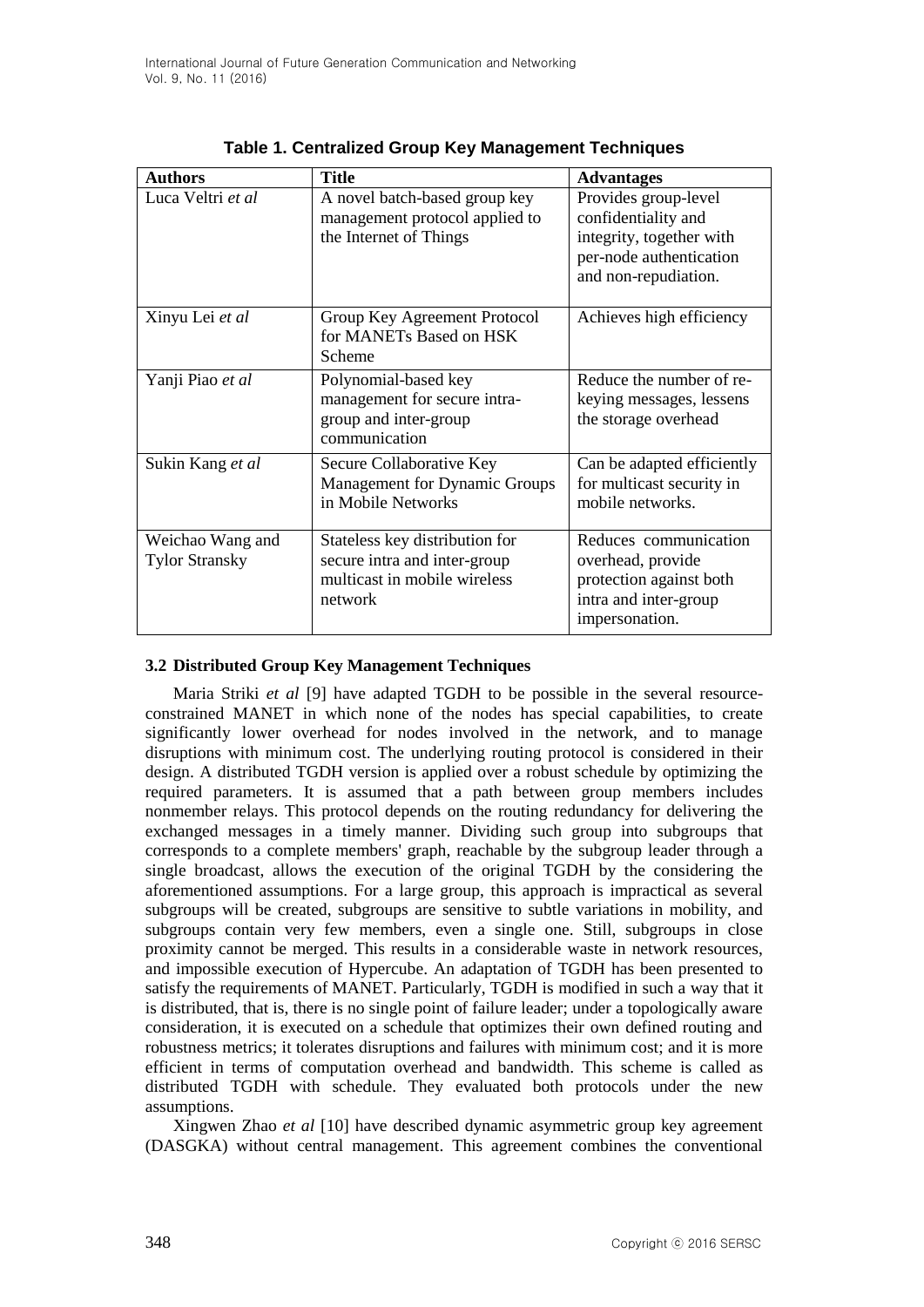| <b>Authors</b>                            | <b>Title</b>                                                                                              | <b>Advantages</b>                                                                                                          |
|-------------------------------------------|-----------------------------------------------------------------------------------------------------------|----------------------------------------------------------------------------------------------------------------------------|
| Luca Veltri et al                         | A novel batch-based group key<br>management protocol applied to<br>the Internet of Things                 | Provides group-level<br>confidentiality and<br>integrity, together with<br>per-node authentication<br>and non-repudiation. |
| Xinyu Lei et al                           | Group Key Agreement Protocol<br>for MANETs Based on HSK<br>Scheme                                         | Achieves high efficiency                                                                                                   |
| Yanji Piao et al                          | Polynomial-based key<br>management for secure intra-<br>group and inter-group<br>communication            | Reduce the number of re-<br>keying messages, lessens<br>the storage overhead                                               |
| Sukin Kang et al                          | Secure Collaborative Key<br>Management for Dynamic Groups<br>in Mobile Networks                           | Can be adapted efficiently<br>for multicast security in<br>mobile networks.                                                |
| Weichao Wang and<br><b>Tylor Stransky</b> | Stateless key distribution for<br>secure intra and inter-group<br>multicast in mobile wireless<br>network | Reduces communication<br>overhead, provide<br>protection against both<br>intra and inter-group<br>impersonation.           |

| Table 1. Centralized Group Key Management Techniques |  |  |  |  |  |  |  |  |
|------------------------------------------------------|--|--|--|--|--|--|--|--|
|------------------------------------------------------|--|--|--|--|--|--|--|--|

#### **3.2 Distributed Group Key Management Techniques**

Maria Striki *et al* [9] have adapted TGDH to be possible in the several resourceconstrained MANET in which none of the nodes has special capabilities, to create significantly lower overhead for nodes involved in the network, and to manage disruptions with minimum cost. The underlying routing protocol is considered in their design. A distributed TGDH version is applied over a robust schedule by optimizing the required parameters. It is assumed that a path between group members includes nonmember relays. This protocol depends on the routing redundancy for delivering the exchanged messages in a timely manner. Dividing such group into subgroups that corresponds to a complete members' graph, reachable by the subgroup leader through a single broadcast, allows the execution of the original TGDH by the considering the aforementioned assumptions. For a large group, this approach is impractical as several subgroups will be created, subgroups are sensitive to subtle variations in mobility, and subgroups contain very few members, even a single one. Still, subgroups in close proximity cannot be merged. This results in a considerable waste in network resources, and impossible execution of Hypercube. An adaptation of TGDH has been presented to satisfy the requirements of MANET. Particularly, TGDH is modified in such a way that it is distributed, that is, there is no single point of failure leader; under a topologically aware consideration, it is executed on a schedule that optimizes their own defined routing and robustness metrics; it tolerates disruptions and failures with minimum cost; and it is more efficient in terms of computation overhead and bandwidth. This scheme is called as distributed TGDH with schedule. They evaluated both protocols under the new assumptions.

Xingwen Zhao *et al* [10] have described dynamic asymmetric group key agreement (DASGKA) without central management. This agreement combines the conventional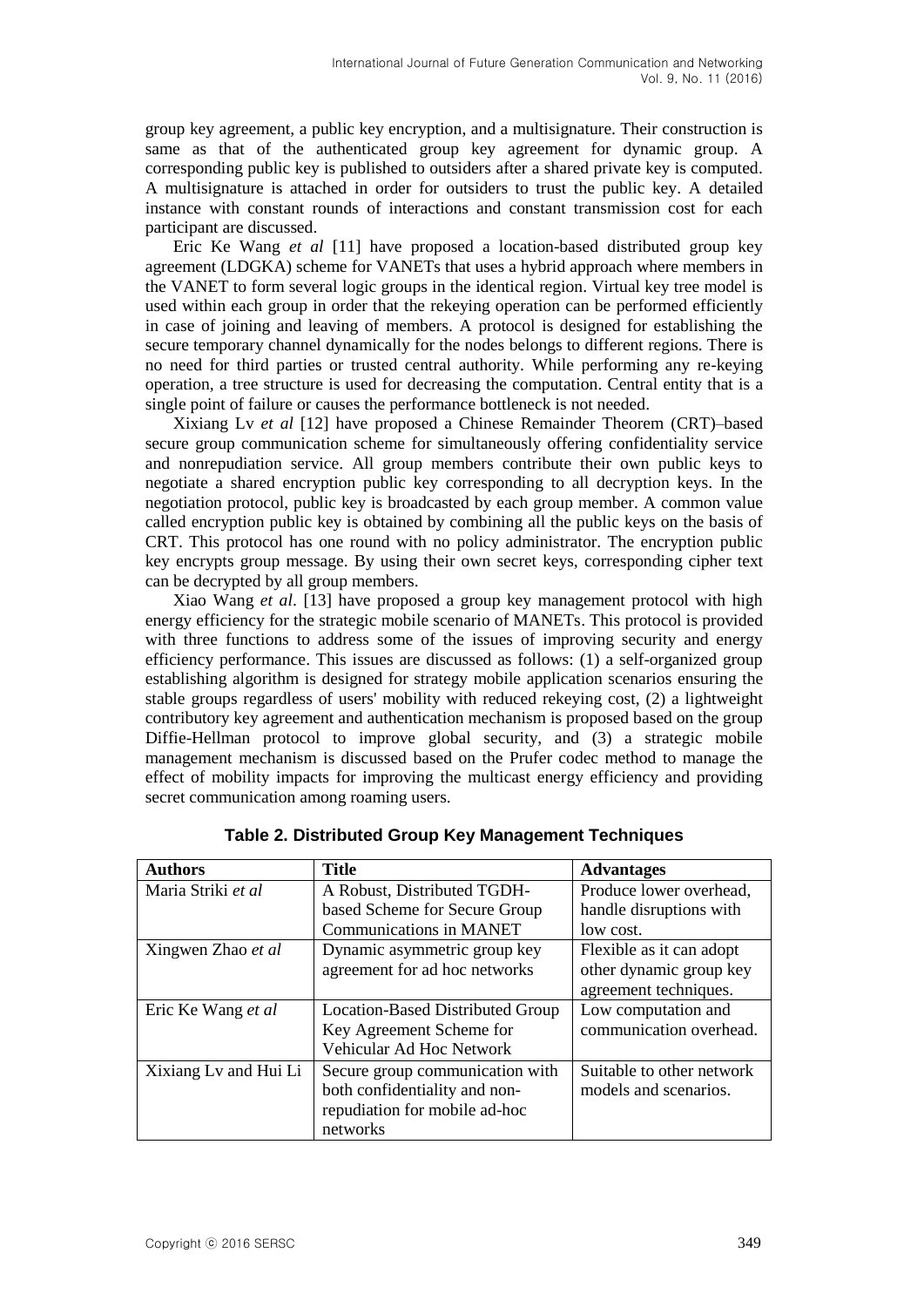group key agreement, a public key encryption, and a multisignature. Their construction is same as that of the authenticated group key agreement for dynamic group. A corresponding public key is published to outsiders after a shared private key is computed. A multisignature is attached in order for outsiders to trust the public key. A detailed instance with constant rounds of interactions and constant transmission cost for each participant are discussed.

Eric Ke Wang *et al* [11] have proposed a location-based distributed group key agreement (LDGKA) scheme for VANETs that uses a hybrid approach where members in the VANET to form several logic groups in the identical region. Virtual key tree model is used within each group in order that the rekeying operation can be performed efficiently in case of joining and leaving of members. A protocol is designed for establishing the secure temporary channel dynamically for the nodes belongs to different regions. There is no need for third parties or trusted central authority. While performing any re-keying operation, a tree structure is used for decreasing the computation. Central entity that is a single point of failure or causes the performance bottleneck is not needed.

Xixiang Lv *et al* [12] have proposed a Chinese Remainder Theorem (CRT)–based secure group communication scheme for simultaneously offering confidentiality service and nonrepudiation service. All group members contribute their own public keys to negotiate a shared encryption public key corresponding to all decryption keys. In the negotiation protocol, public key is broadcasted by each group member. A common value called encryption public key is obtained by combining all the public keys on the basis of CRT. This protocol has one round with no policy administrator. The encryption public key encrypts group message. By using their own secret keys, corresponding cipher text can be decrypted by all group members.

Xiao Wang *et al*. [13] have proposed a group key management protocol with high energy efficiency for the strategic mobile scenario of MANETs. This protocol is provided with three functions to address some of the issues of improving security and energy efficiency performance. This issues are discussed as follows: (1) a self-organized group establishing algorithm is designed for strategy mobile application scenarios ensuring the stable groups regardless of users' mobility with reduced rekeying cost, (2) a lightweight contributory key agreement and authentication mechanism is proposed based on the group Diffie-Hellman protocol to improve global security, and (3) a strategic mobile management mechanism is discussed based on the Prufer codec method to manage the effect of mobility impacts for improving the multicast energy efficiency and providing secret communication among roaming users.

| <b>Authors</b>        | Title                            | <b>Advantages</b>         |
|-----------------------|----------------------------------|---------------------------|
| Maria Striki et al    | A Robust, Distributed TGDH-      | Produce lower overhead,   |
|                       | based Scheme for Secure Group    | handle disruptions with   |
|                       | Communications in MANET          | low cost.                 |
| Xingwen Zhao et al    | Dynamic asymmetric group key     | Flexible as it can adopt  |
|                       | agreement for ad hoc networks    | other dynamic group key   |
|                       |                                  | agreement techniques.     |
| Eric Ke Wang et al    | Location-Based Distributed Group | Low computation and       |
|                       | Key Agreement Scheme for         | communication overhead.   |
|                       | Vehicular Ad Hoc Network         |                           |
| Xixiang Lv and Hui Li | Secure group communication with  | Suitable to other network |
|                       | both confidentiality and non-    | models and scenarios.     |
|                       | repudiation for mobile ad-hoc    |                           |
|                       | networks                         |                           |

#### **Table 2. Distributed Group Key Management Techniques**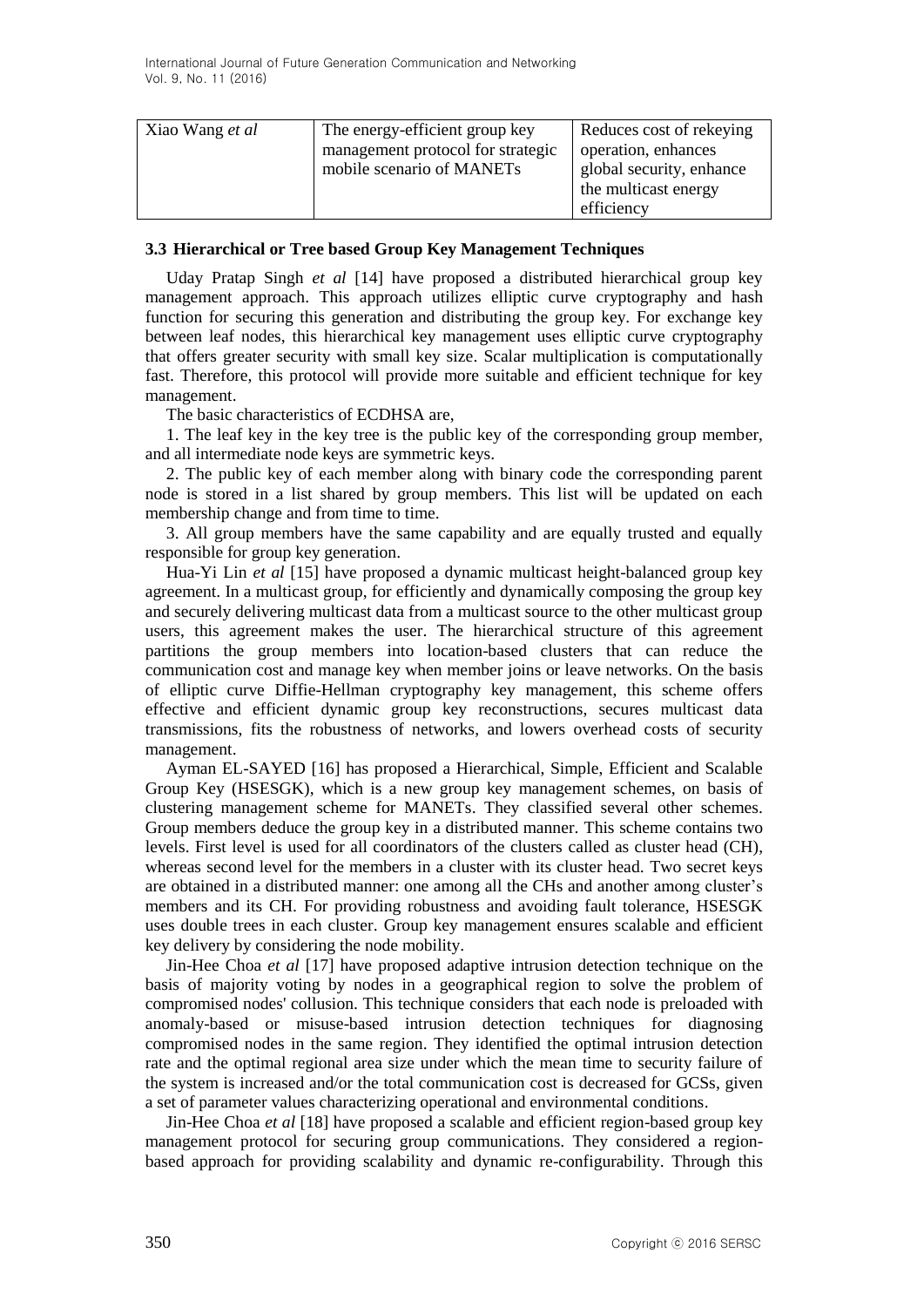| Xiao Wang <i>et al</i> | The energy-efficient group key<br>management protocol for strategic<br>mobile scenario of MANETs | Reduces cost of rekeying<br>operation, enhances<br>global security, enhance<br>the multicast energy<br>efficiency |
|------------------------|--------------------------------------------------------------------------------------------------|-------------------------------------------------------------------------------------------------------------------|
|                        |                                                                                                  |                                                                                                                   |

#### **3.3 Hierarchical or Tree based Group Key Management Techniques**

Uday Pratap Singh *et al* [14] have proposed a distributed hierarchical group key management approach. This approach utilizes elliptic curve cryptography and hash function for securing this generation and distributing the group key. For exchange key between leaf nodes, this hierarchical key management uses elliptic curve cryptography that offers greater security with small key size. Scalar multiplication is computationally fast. Therefore, this protocol will provide more suitable and efficient technique for key management.

The basic characteristics of ECDHSA are,

1. The leaf key in the key tree is the public key of the corresponding group member, and all intermediate node keys are symmetric keys.

2. The public key of each member along with binary code the corresponding parent node is stored in a list shared by group members. This list will be updated on each membership change and from time to time.

3. All group members have the same capability and are equally trusted and equally responsible for group key generation.

Hua-Yi Lin *et al* [15] have proposed a dynamic multicast height-balanced group key agreement. In a multicast group, for efficiently and dynamically composing the group key and securely delivering multicast data from a multicast source to the other multicast group users, this agreement makes the user. The hierarchical structure of this agreement partitions the group members into location-based clusters that can reduce the communication cost and manage key when member joins or leave networks. On the basis of elliptic curve Diffie-Hellman cryptography key management, this scheme offers effective and efficient dynamic group key reconstructions, secures multicast data transmissions, fits the robustness of networks, and lowers overhead costs of security management.

Ayman EL-SAYED [16] has proposed a Hierarchical, Simple, Efficient and Scalable Group Key (HSESGK), which is a new group key management schemes, on basis of clustering management scheme for MANETs. They classified several other schemes. Group members deduce the group key in a distributed manner. This scheme contains two levels. First level is used for all coordinators of the clusters called as cluster head (CH), whereas second level for the members in a cluster with its cluster head. Two secret keys are obtained in a distributed manner: one among all the CHs and another among cluster's members and its CH. For providing robustness and avoiding fault tolerance, HSESGK uses double trees in each cluster. Group key management ensures scalable and efficient key delivery by considering the node mobility.

Jin-Hee Choa *et al* [17] have proposed adaptive intrusion detection technique on the basis of majority voting by nodes in a geographical region to solve the problem of compromised nodes' collusion. This technique considers that each node is preloaded with anomaly-based or misuse-based intrusion detection techniques for diagnosing compromised nodes in the same region. They identified the optimal intrusion detection rate and the optimal regional area size under which the mean time to security failure of the system is increased and/or the total communication cost is decreased for GCSs, given a set of parameter values characterizing operational and environmental conditions.

Jin-Hee Choa *et al* [18] have proposed a scalable and efficient region-based group key management protocol for securing group communications. They considered a regionbased approach for providing scalability and dynamic re-configurability. Through this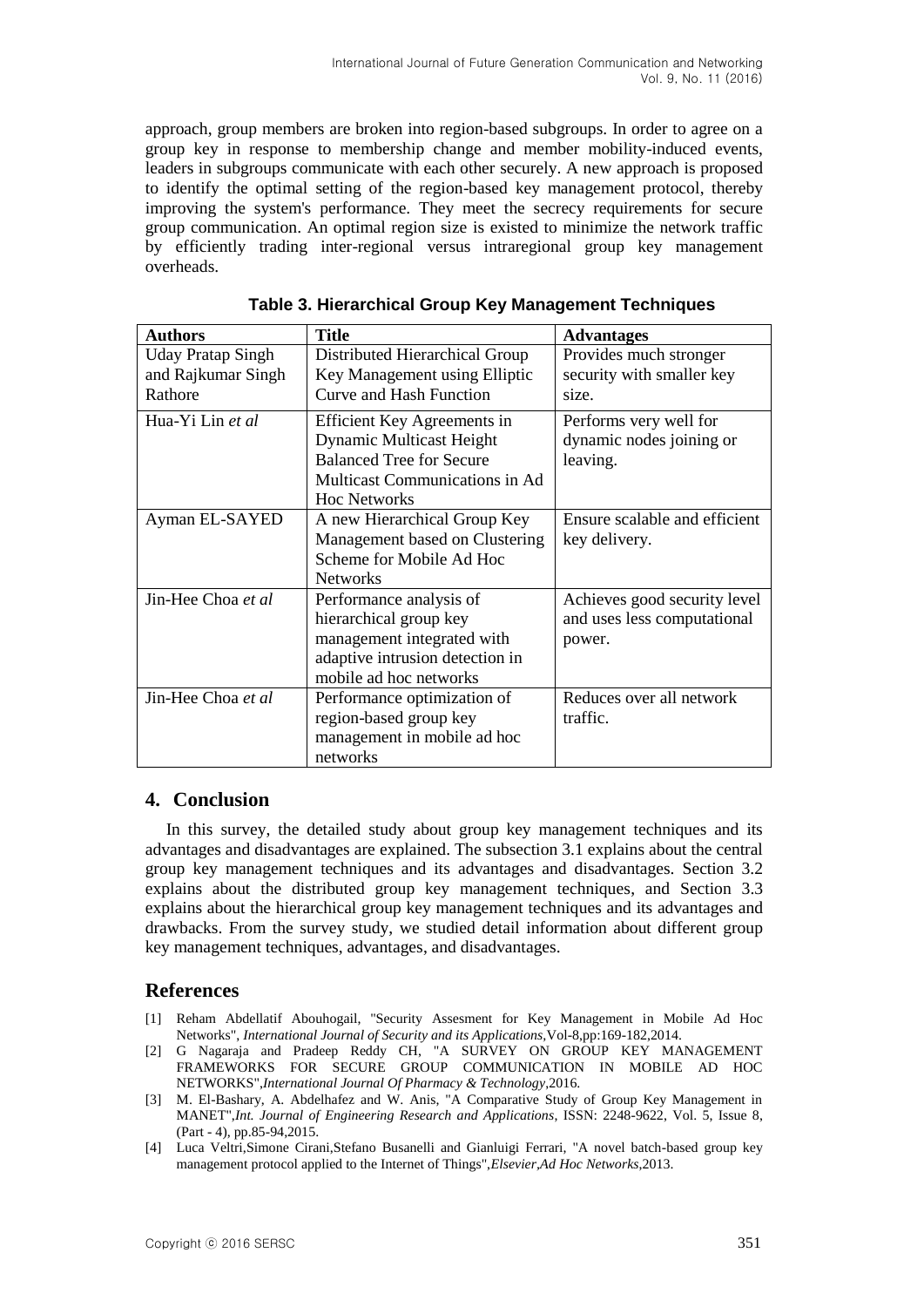approach, group members are broken into region-based subgroups. In order to agree on a group key in response to membership change and member mobility-induced events, leaders in subgroups communicate with each other securely. A new approach is proposed to identify the optimal setting of the region-based key management protocol, thereby improving the system's performance. They meet the secrecy requirements for secure group communication. An optimal region size is existed to minimize the network traffic by efficiently trading inter-regional versus intraregional group key management overheads.

| <b>Authors</b>           | <b>Title</b>                    | <b>Advantages</b>             |
|--------------------------|---------------------------------|-------------------------------|
| <b>Uday Pratap Singh</b> | Distributed Hierarchical Group  | Provides much stronger        |
| and Rajkumar Singh       | Key Management using Elliptic   | security with smaller key     |
| Rathore                  | <b>Curve and Hash Function</b>  | size.                         |
|                          |                                 |                               |
| Hua-Yi Lin et al         | Efficient Key Agreements in     | Performs very well for        |
|                          | <b>Dynamic Multicast Height</b> | dynamic nodes joining or      |
|                          | <b>Balanced Tree for Secure</b> | leaving.                      |
|                          | Multicast Communications in Ad  |                               |
|                          | <b>Hoc Networks</b>             |                               |
|                          |                                 |                               |
| Ayman EL-SAYED           | A new Hierarchical Group Key    | Ensure scalable and efficient |
|                          | Management based on Clustering  | key delivery.                 |
|                          | Scheme for Mobile Ad Hoc        |                               |
|                          | <b>Networks</b>                 |                               |
| Jin-Hee Choa et al       | Performance analysis of         | Achieves good security level  |
|                          | hierarchical group key          | and uses less computational   |
|                          | management integrated with      | power.                        |
|                          | adaptive intrusion detection in |                               |
|                          | mobile ad hoc networks          |                               |
| Jin-Hee Choa et al       | Performance optimization of     | Reduces over all network      |
|                          | region-based group key          | traffic.                      |
|                          | management in mobile ad hoc     |                               |
|                          | networks                        |                               |

**Table 3. Hierarchical Group Key Management Techniques**

# **4. Conclusion**

In this survey, the detailed study about group key management techniques and its advantages and disadvantages are explained. The subsection 3.1 explains about the central group key management techniques and its advantages and disadvantages. Section 3.2 explains about the distributed group key management techniques, and Section 3.3 explains about the hierarchical group key management techniques and its advantages and drawbacks. From the survey study, we studied detail information about different group key management techniques, advantages, and disadvantages.

# **References**

- [1] Reham Abdellatif Abouhogail, "Security Assesment for Key Management in Mobile Ad Hoc Networks", *International Journal of Security and its Applications,*Vol-8,pp:169-182,2014.
- [2] G Nagaraja and Pradeep Reddy CH, "A SURVEY ON GROUP KEY MANAGEMENT FRAMEWORKS FOR SECURE GROUP COMMUNICATION IN MOBILE AD HOC NETWORKS",*International Journal Of Pharmacy & Technology*,2016.
- [3] M. El-Bashary, A. Abdelhafez and W. Anis, "A Comparative Study of Group Key Management in MANET",*Int. Journal of Engineering Research and Applications*, ISSN: 2248-9622, Vol. 5, Issue 8, (Part - 4), pp.85-94,2015.
- [4] Luca Veltri,Simone Cirani,Stefano Busanelli and Gianluigi Ferrari, "A novel batch-based group key management protocol applied to the Internet of Things",*Elsevier,Ad Hoc Networks*,2013.